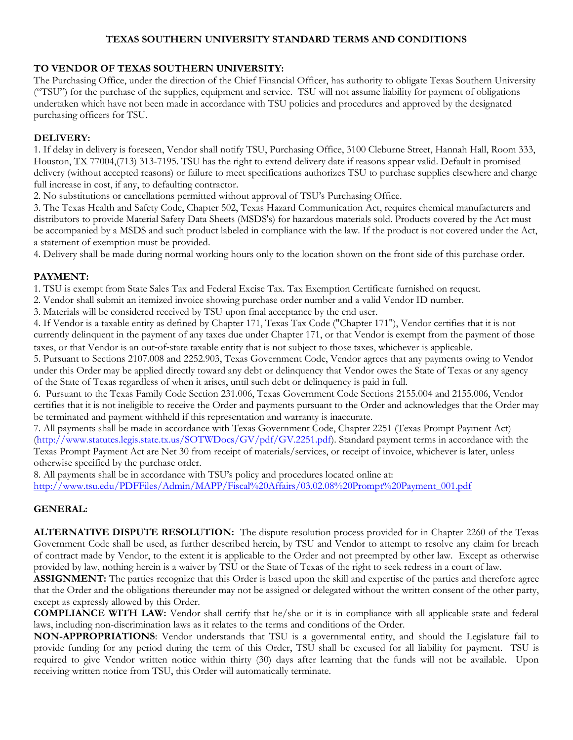# **TEXAS SOUTHERN UNIVERSITY STANDARD TERMS AND CONDITIONS**

# **TO VENDOR OF TEXAS SOUTHERN UNIVERSITY:**

The Purchasing Office, under the direction of the Chief Financial Officer, has authority to obligate Texas Southern University ("TSU") for the purchase of the supplies, equipment and service. TSU will not assume liability for payment of obligations undertaken which have not been made in accordance with TSU policies and procedures and approved by the designated purchasing officers for TSU.

### **DELIVERY:**

1. If delay in delivery is foreseen, Vendor shall notify TSU, Purchasing Office, 3100 Cleburne Street, Hannah Hall, Room 333, Houston, TX 77004,(713) 313-7195. TSU has the right to extend delivery date if reasons appear valid. Default in promised delivery (without accepted reasons) or failure to meet specifications authorizes TSU to purchase supplies elsewhere and charge full increase in cost, if any, to defaulting contractor.

2. No substitutions or cancellations permitted without approval of TSU's Purchasing Office.

3. The Texas Health and Safety Code, Chapter 502, Texas Hazard Communication Act, requires chemical manufacturers and distributors to provide Material Safety Data Sheets (MSDS's) for hazardous materials sold. Products covered by the Act must be accompanied by a MSDS and such product labeled in compliance with the law. If the product is not covered under the Act, a statement of exemption must be provided.

4. Delivery shall be made during normal working hours only to the location shown on the front side of this purchase order.

#### **PAYMENT:**

1. TSU is exempt from State Sales Tax and Federal Excise Tax. Tax Exemption Certificate furnished on request.

2. Vendor shall submit an itemized invoice showing purchase order number and a valid Vendor ID number.

3. Materials will be considered received by TSU upon final acceptance by the end user.

4. If Vendor is a taxable entity as defined by Chapter 171, Texas Tax Code ("Chapter 171"), Vendor certifies that it is not currently delinquent in the payment of any taxes due under Chapter 171, or that Vendor is exempt from the payment of those taxes, or that Vendor is an out‐of‐state taxable entity that is not subject to those taxes, whichever is applicable.

5. Pursuant to Sections 2107.008 and 2252.903, Texas Government Code, Vendor agrees that any payments owing to Vendor under this Order may be applied directly toward any debt or delinquency that Vendor owes the State of Texas or any agency of the State of Texas regardless of when it arises, until such debt or delinquency is paid in full.

6. Pursuant to the Texas Family Code Section 231.006, Texas Government Code Sections 2155.004 and 2155.006, Vendor certifies that it is not ineligible to receive the Order and payments pursuant to the Order and acknowledges that the Order may be terminated and payment withheld if this representation and warranty is inaccurate.

7. All payments shall be made in accordance with Texas Government Code, Chapter 2251 (Texas Prompt Payment Act) (http://www.statutes.legis.state.tx.us/SOTWDocs/GV/pdf/GV.2251.pdf). Standard payment terms in accordance with the Texas Prompt Payment Act are Net 30 from receipt of materials/services, or receipt of invoice, whichever is later, unless otherwise specified by the purchase order.

8. All payments shall be in accordance with TSU's policy and procedures located online at:

[http://www.tsu.edu/PDFFiles/Admin/MAPP/Fiscal%20Affairs/03.02.08%20Prompt%20Payment\\_001.pdf](http://www.tsu.edu/PDFFiles/Admin/MAPP/Fiscal%20Affairs/03.02.08%20Prompt%20Payment_001.pdf)

# **GENERAL:**

**ALTERNATIVE DISPUTE RESOLUTION:** The dispute resolution process provided for in Chapter 2260 of the Texas Government Code shall be used, as further described herein, by TSU and Vendor to attempt to resolve any claim for breach of contract made by Vendor, to the extent it is applicable to the Order and not preempted by other law. Except as otherwise provided by law, nothing herein is a waiver by TSU or the State of Texas of the right to seek redress in a court of law.

**ASSIGNMENT:** The parties recognize that this Order is based upon the skill and expertise of the parties and therefore agree that the Order and the obligations thereunder may not be assigned or delegated without the written consent of the other party, except as expressly allowed by this Order.

**COMPLIANCE WITH LAW:** Vendor shall certify that he/she or it is in compliance with all applicable state and federal laws, including non-discrimination laws as it relates to the terms and conditions of the Order.

**NON-APPROPRIATIONS**: Vendor understands that TSU is a governmental entity, and should the Legislature fail to provide funding for any period during the term of this Order, TSU shall be excused for all liability for payment. TSU is required to give Vendor written notice within thirty (30) days after learning that the funds will not be available. Upon receiving written notice from TSU, this Order will automatically terminate.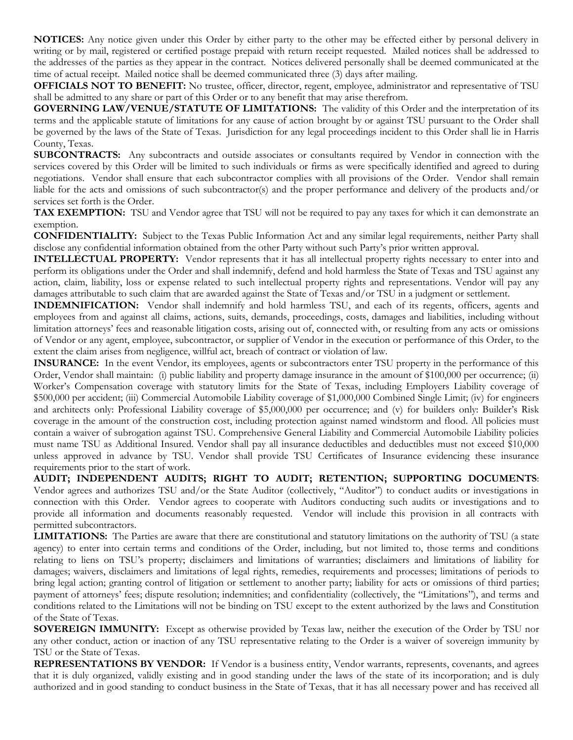**NOTICES:** Any notice given under this Order by either party to the other may be effected either by personal delivery in writing or by mail, registered or certified postage prepaid with return receipt requested. Mailed notices shall be addressed to the addresses of the parties as they appear in the contract. Notices delivered personally shall be deemed communicated at the time of actual receipt. Mailed notice shall be deemed communicated three (3) days after mailing.

**OFFICIALS NOT TO BENEFIT:** No trustee, officer, director, regent, employee, administrator and representative of TSU shall be admitted to any share or part of this Order or to any benefit that may arise therefrom.

**GOVERNING LAW/VENUE/STATUTE OF LIMITATIONS:** The validity of this Order and the interpretation of its terms and the applicable statute of limitations for any cause of action brought by or against TSU pursuant to the Order shall be governed by the laws of the State of Texas. Jurisdiction for any legal proceedings incident to this Order shall lie in Harris County, Texas.

**SUBCONTRACTS:** Any subcontracts and outside associates or consultants required by Vendor in connection with the services covered by this Order will be limited to such individuals or firms as were specifically identified and agreed to during negotiations. Vendor shall ensure that each subcontractor complies with all provisions of the Order. Vendor shall remain liable for the acts and omissions of such subcontractor(s) and the proper performance and delivery of the products and/or services set forth is the Order.

**TAX EXEMPTION:** TSU and Vendor agree that TSU will not be required to pay any taxes for which it can demonstrate an exemption.

**CONFIDENTIALITY:** Subject to the Texas Public Information Act and any similar legal requirements, neither Party shall disclose any confidential information obtained from the other Party without such Party's prior written approval.

**INTELLECTUAL PROPERTY:** Vendor represents that it has all intellectual property rights necessary to enter into and perform its obligations under the Order and shall indemnify, defend and hold harmless the State of Texas and TSU against any action, claim, liability, loss or expense related to such intellectual property rights and representations. Vendor will pay any damages attributable to such claim that are awarded against the State of Texas and/or TSU in a judgment or settlement.

**INDEMNIFICATION:** Vendor shall indemnify and hold harmless TSU, and each of its regents, officers, agents and employees from and against all claims, actions, suits, demands, proceedings, costs, damages and liabilities, including without limitation attorneys' fees and reasonable litigation costs, arising out of, connected with, or resulting from any acts or omissions of Vendor or any agent, employee, subcontractor, or supplier of Vendor in the execution or performance of this Order, to the extent the claim arises from negligence, willful act, breach of contract or violation of law.

**INSURANCE:** In the event Vendor, its employees, agents or subcontractors enter TSU property in the performance of this Order, Vendor shall maintain: (i) public liability and property damage insurance in the amount of \$100,000 per occurrence; (ii) Worker's Compensation coverage with statutory limits for the State of Texas, including Employers Liability coverage of \$500,000 per accident; (iii) Commercial Automobile Liability coverage of \$1,000,000 Combined Single Limit; (iv) for engineers and architects only: Professional Liability coverage of \$5,000,000 per occurrence; and (v) for builders only: Builder's Risk coverage in the amount of the construction cost, including protection against named windstorm and flood. All policies must contain a waiver of subrogation against TSU. Comprehensive General Liability and Commercial Automobile Liability policies must name TSU as Additional Insured. Vendor shall pay all insurance deductibles and deductibles must not exceed \$10,000 unless approved in advance by TSU. Vendor shall provide TSU Certificates of Insurance evidencing these insurance requirements prior to the start of work.

**AUDIT; INDEPENDENT AUDITS; RIGHT TO AUDIT; RETENTION; SUPPORTING DOCUMENTS**: Vendor agrees and authorizes TSU and/or the State Auditor (collectively, "Auditor") to conduct audits or investigations in connection with this Order. Vendor agrees to cooperate with Auditors conducting such audits or investigations and to provide all information and documents reasonably requested. Vendor will include this provision in all contracts with permitted subcontractors.

**LIMITATIONS:** The Parties are aware that there are constitutional and statutory limitations on the authority of TSU (a state agency) to enter into certain terms and conditions of the Order, including, but not limited to, those terms and conditions relating to liens on TSU's property; disclaimers and limitations of warranties; disclaimers and limitations of liability for damages; waivers, disclaimers and limitations of legal rights, remedies, requirements and processes; limitations of periods to bring legal action; granting control of litigation or settlement to another party; liability for acts or omissions of third parties; payment of attorneys' fees; dispute resolution; indemnities; and confidentiality (collectively, the "Limitations"), and terms and conditions related to the Limitations will not be binding on TSU except to the extent authorized by the laws and Constitution of the State of Texas.

**SOVEREIGN IMMUNITY:** Except as otherwise provided by Texas law, neither the execution of the Order by TSU nor any other conduct, action or inaction of any TSU representative relating to the Order is a waiver of sovereign immunity by TSU or the State of Texas.

**REPRESENTATIONS BY VENDOR:** If Vendor is a business entity, Vendor warrants, represents, covenants, and agrees that it is duly organized, validly existing and in good standing under the laws of the state of its incorporation; and is duly authorized and in good standing to conduct business in the State of Texas, that it has all necessary power and has received all